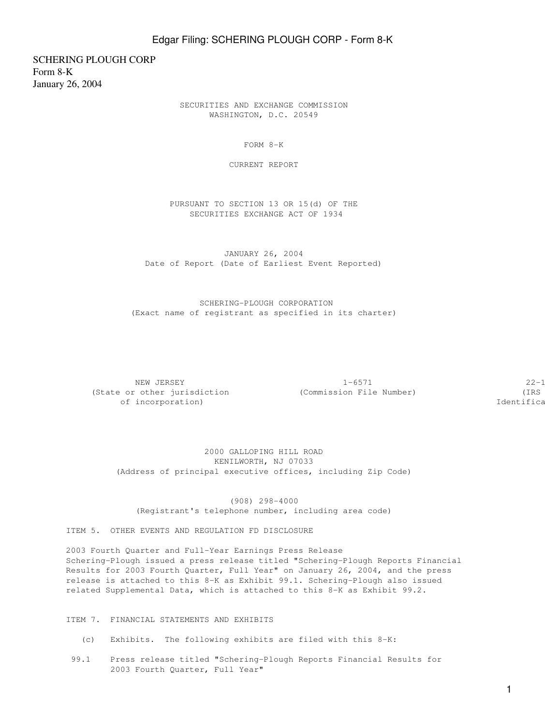## Edgar Filing: SCHERING PLOUGH CORP - Form 8-K

SCHERING PLOUGH CORP Form 8-K January 26, 2004

> SECURITIES AND EXCHANGE COMMISSION WASHINGTON, D.C. 20549

> > FORM 8-K

CURRENT REPORT

 PURSUANT TO SECTION 13 OR 15(d) OF THE SECURITIES EXCHANGE ACT OF 1934

 JANUARY 26, 2004 Date of Report (Date of Earliest Event Reported)

 SCHERING-PLOUGH CORPORATION (Exact name of registrant as specified in its charter)

NEW JERSEY  $1-6571$   $22-1$ (State or other jurisdiction (Commission File Number) (IRS of incorporation) and incorporation  $\mathcal{I}$  of incorporation  $\mathcal{I}$ 

 2000 GALLOPING HILL ROAD KENILWORTH, NJ 07033 (Address of principal executive offices, including Zip Code)

 (908) 298-4000 (Registrant's telephone number, including area code)

ITEM 5. OTHER EVENTS AND REGULATION FD DISCLOSURE

2003 Fourth Quarter and Full-Year Earnings Press Release Schering-Plough issued a press release titled "Schering-Plough Reports Financial Results for 2003 Fourth Quarter, Full Year" on January 26, 2004, and the press release is attached to this 8-K as Exhibit 99.1. Schering-Plough also issued related Supplemental Data, which is attached to this 8-K as Exhibit 99.2.

ITEM 7. FINANCIAL STATEMENTS AND EXHIBITS

- (c) Exhibits. The following exhibits are filed with this 8-K:
- 99.1 Press release titled "Schering-Plough Reports Financial Results for 2003 Fourth Quarter, Full Year"